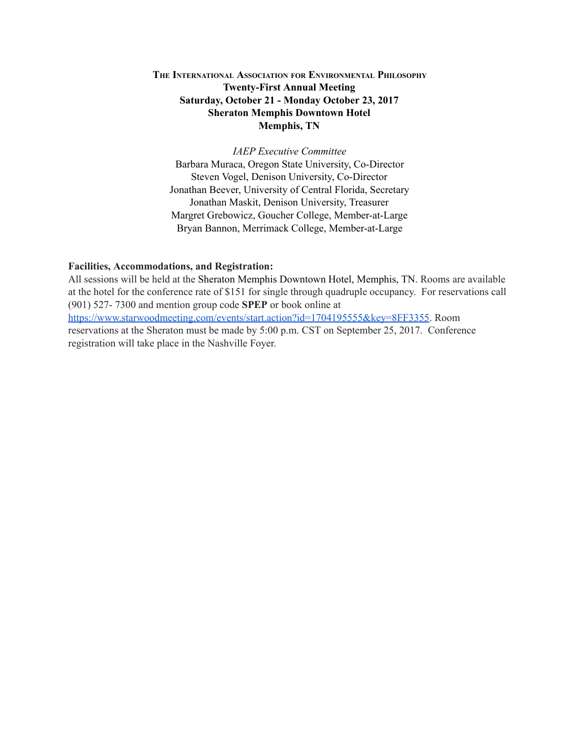# **THE INTERNATIONAL ASSOCIATION FOR ENVIRONMENTAL PHILOSOPHY Twenty-First Annual Meeting Saturday, October 21 Monday October 23, 2017 Sheraton Memphis Downtown Hotel Memphis, TN**

*IAEP Executive Committee* Barbara Muraca, Oregon State University, Co-Director Steven Vogel, Denison University, Co-Director Jonathan Beever, University of Central Florida, Secretary Jonathan Maskit, Denison University, Treasurer Margret Grebowicz, Goucher College, Member-at-Large Bryan Bannon, Merrimack College, Member-at-Large

## **Facilities, Accommodations, and Registration:**

All sessions will be held at the Sheraton Memphis Downtown Hotel, Memphis, TN. Rooms are available at the hotel for the conference rate of \$151 for single through quadruple occupancy. For reservations call (901) 527 7300 and mention group code **SPEP** or book online at [https://www.starwoodmeeting.com/events/start.action?id=1704195555&key=8FF3355.](https://www.starwoodmeeting.com/events/start.action?id=1704195555&key=8FF3355) Room reservations at the Sheraton must be made by 5:00 p.m. CST on September 25, 2017. Conference registration will take place in the Nashville Foyer.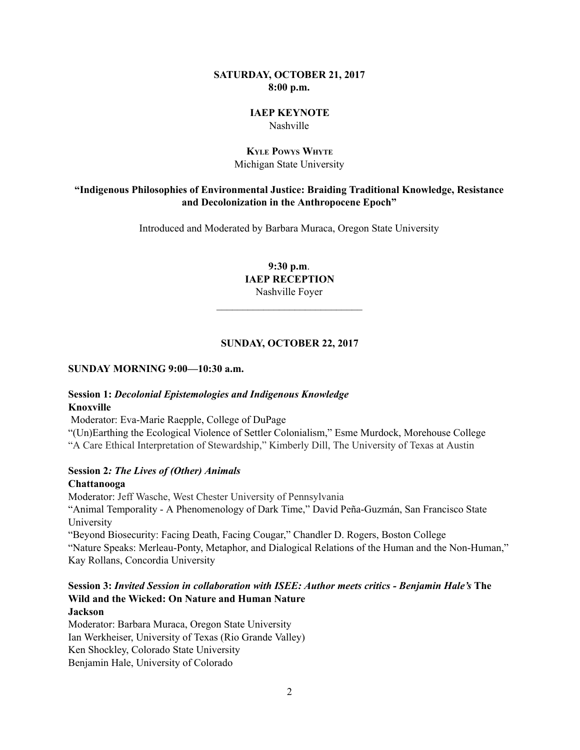# **SATURDAY, OCTOBER 21, 2017 8:00 p.m.**

#### **IAEP KEYNOTE** Nashville

# **KYLE POWYS WHYTE** Michigan State University

# **"Indigenous Philosophies of Environmental Justice: Braiding Traditional Knowledge, Resistance and Decolonization in the Anthropocene Epoch"**

Introduced and Moderated by Barbara Muraca, Oregon State University

**9:30 p.m**. **IAEP RECEPTION** Nashville Foyer

 $\mathcal{L}_\text{max}$ 

## **SUNDAY, OCTOBER 22, 2017**

#### **SUNDAY MORNING 9:00—10:30 a.m.**

# **Session 1:** *Decolonial Epistemologies and Indigenous Knowledge* **Knoxville**

Moderator: Eva-Marie Raepple, College of DuPage

"(Un)Earthing the Ecological Violence of Settler Colonialism," Esme Murdock, Morehouse College "A Care Ethical Interpretation of Stewardship," Kimberly Dill, The University of Texas at Austin

# **Session 2***: The Lives of (Other) Animals*

# **Chattanooga**

Moderator: Jeff Wasche, West Chester University of Pennsylvania "Animal Temporality - A Phenomenology of Dark Time," David Peña-Guzmán, San Francisco State University "Beyond Biosecurity: Facing Death, Facing Cougar," Chandler D. Rogers, Boston College

"Nature Speaks: Merleau-Ponty, Metaphor, and Dialogical Relations of the Human and the Non-Human," Kay Rollans, Concordia University

# **Session 3:** *Invited Session in collaboration with ISEE: Author meets critics Benjamin Hale's* **The Wild and the Wicked: On Nature and Human Nature**

# **Jackson**

Moderator: Barbara Muraca, Oregon State University Ian Werkheiser, University of Texas (Rio Grande Valley) Ken Shockley, Colorado State University Benjamin Hale, University of Colorado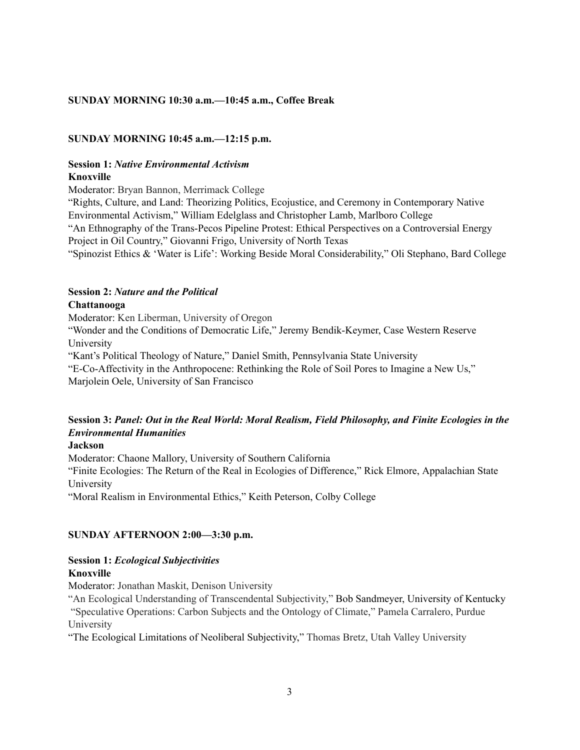# **SUNDAY MORNING 10:30 a.m.—10:45 a.m., Coffee Break**

## **SUNDAY MORNING 10:45 a.m.—12:15 p.m.**

## **Session 1:** *Native Environmental Activism* **Knoxville**

Moderator: Bryan Bannon, Merrimack College

"Rights, Culture, and Land: Theorizing Politics, Ecojustice, and Ceremony in Contemporary Native Environmental Activism," William Edelglass and Christopher Lamb, Marlboro College "An Ethnography of the Trans-Pecos Pipeline Protest: Ethical Perspectives on a Controversial Energy Project in Oil Country," Giovanni Frigo, University of North Texas "Spinozist Ethics & 'Water is Life': Working Beside Moral Considerability," Oli Stephano, Bard College

## **Session 2:** *Nature and the Political*

#### **Chattanooga**

Moderator: Ken Liberman, University of Oregon

"Wonder and the Conditions of Democratic Life," Jeremy Bendik-Keymer, Case Western Reserve University

"Kant's Political Theology of Nature," Daniel Smith, Pennsylvania State University

"ECoAffectivity in the Anthropocene: Rethinking the Role of Soil Pores to Imagine a New Us," Marjolein Oele, University of San Francisco

# **Session 3:** *Panel: Out in the Real World: Moral Realism, Field Philosophy, and Finite Ecologies in the Environmental Humanities*

#### **Jackson**

Moderator: Chaone Mallory, University of Southern California

"Finite Ecologies: The Return of the Real in Ecologies of Difference," Rick Elmore, Appalachian State University

"Moral Realism in Environmental Ethics," Keith Peterson, Colby College

#### **SUNDAY AFTERNOON 2:00—3:30 p.m.**

# **Session 1:** *Ecological Subjectivities*

#### **Knoxville**

Moderator: Jonathan Maskit, Denison University

"An Ecological Understanding of Transcendental Subjectivity," Bob Sandmeyer, University of Kentucky

"Speculative Operations: Carbon Subjects and the Ontology of Climate," Pamela Carralero, Purdue University

"The Ecological Limitations of Neoliberal Subjectivity," Thomas Bretz, Utah Valley University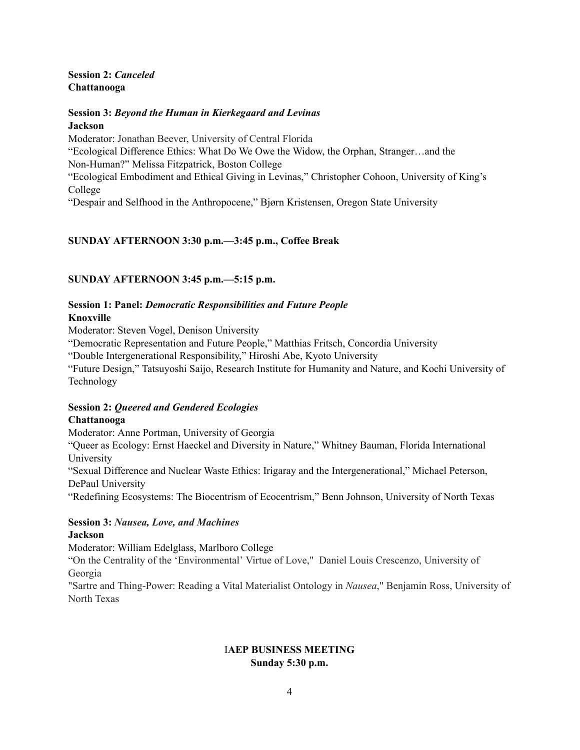# **Session 2:** *Canceled* **Chattanooga**

## **Session 3:** *Beyond the Human in Kierkegaard and Levinas* **Jackson**

Moderator: Jonathan Beever, University of Central Florida "Ecological Difference Ethics: What Do We Owe the Widow, the Orphan, Stranger…and the Non-Human?" Melissa Fitzpatrick, Boston College "Ecological Embodiment and Ethical Giving in Levinas," Christopher Cohoon, University of King's College "Despair and Selfhood in the Anthropocene," Bjørn Kristensen, Oregon State University

# **SUNDAY AFTERNOON 3:30 p.m.—3:45 p.m., Coffee Break**

# **SUNDAY AFTERNOON 3:45 p.m.—5:15 p.m.**

# **Session 1: Panel:** *Democratic Responsibilities and Future People* **Knoxville**

Moderator: Steven Vogel, Denison University

"Democratic Representation and Future People," Matthias Fritsch, Concordia University

"Double Intergenerational Responsibility," Hiroshi Abe, Kyoto University

"Future Design," Tatsuyoshi Saijo, Research Institute for Humanity and Nature, and Kochi University of Technology

# **Session 2:** *Queered and Gendered Ecologies* **Chattanooga**

Moderator: Anne Portman, University of Georgia

"Queer as Ecology: Ernst Haeckel and Diversity in Nature," Whitney Bauman, Florida International University

"Sexual Difference and Nuclear Waste Ethics: Irigaray and the Intergenerational," Michael Peterson, DePaul University

"Redefining Ecosystems: The Biocentrism of Ecocentrism," Benn Johnson, University of North Texas

# **Session 3:** *Nausea, Love, and Machines* **Jackson**

Moderator: William Edelglass, Marlboro College

"On the Centrality of the 'Environmental' Virtue of Love," Daniel Louis Crescenzo, University of Georgia

"Sartre and Thing-Power: Reading a Vital Materialist Ontology in *Nausea*," Benjamin Ross, University of North Texas

## I**AEP BUSINESS MEETING Sunday 5:30 p.m.**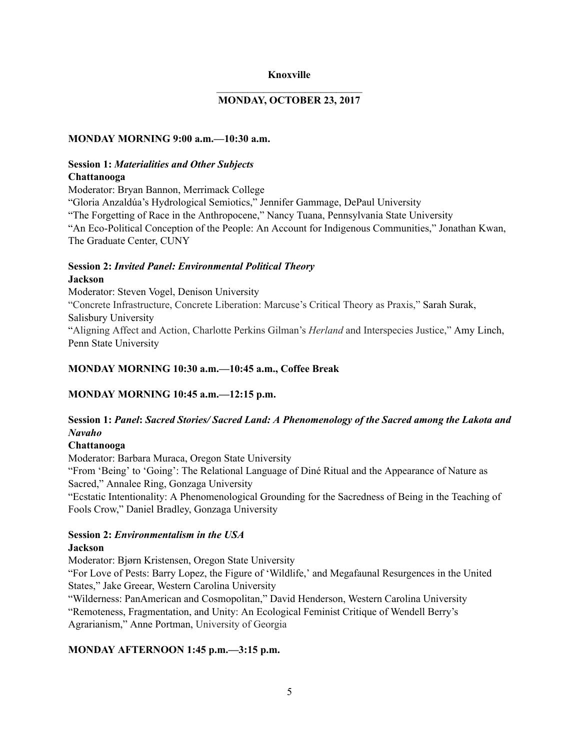## **Knoxville**

## $\mathcal{L}_\text{max}$ **MONDAY, OCTOBER 23, 2017**

## **MONDAY MORNING 9:00 a.m.—10:30 a.m.**

## **Session 1:** *Materialities and Other Subjects* **Chattanooga**

Moderator: Bryan Bannon, Merrimack College "Gloria Anzaldúa's Hydrological Semiotics," Jennifer Gammage, DePaul University "The Forgetting of Race in the Anthropocene," Nancy Tuana, Pennsylvania State University "An Eco-Political Conception of the People: An Account for Indigenous Communities," Jonathan Kwan, The Graduate Center, CUNY

#### **Session 2:** *Invited Panel: Environmental Political Theory* **Jackson**

Moderator: Steven Vogel, Denison University "Concrete Infrastructure, Concrete Liberation: Marcuse's Critical Theory as Praxis," Sarah Surak, Salisbury University "Aligning Affect and Action, Charlotte Perkins Gilman's *Herland* and Interspecies Justice," Amy Linch, Penn State University

# **MONDAY MORNING 10:30 a.m.—10:45 a.m., Coffee Break**

# **MONDAY MORNING 10:45 a.m.—12:15 p.m.**

# **Session 1:** *Panel***:** *Sacred Stories/ Sacred Land: A Phenomenology of the Sacred among the Lakota and Navaho*

# **Chattanooga**

Moderator: Barbara Muraca, Oregon State University "From 'Being' to 'Going': The Relational Language of Diné Ritual and the Appearance of Nature as Sacred," Annalee Ring, Gonzaga University "Ecstatic Intentionality: A Phenomenological Grounding for the Sacredness of Being in the Teaching of Fools Crow," Daniel Bradley, Gonzaga University

# **Session 2:** *Environmentalism in the USA*

# **Jackson**

Moderator: Bjørn Kristensen, Oregon State University "For Love of Pests: Barry Lopez, the Figure of 'Wildlife,' and Megafaunal Resurgences in the United States," Jake Greear, Western Carolina University

"Wilderness: PanAmerican and Cosmopolitan," David Henderson, Western Carolina University "Remoteness, Fragmentation, and Unity: An Ecological Feminist Critique of Wendell Berry's Agrarianism," Anne Portman, University of Georgia

# **MONDAY AFTERNOON 1:45 p.m.—3:15 p.m.**